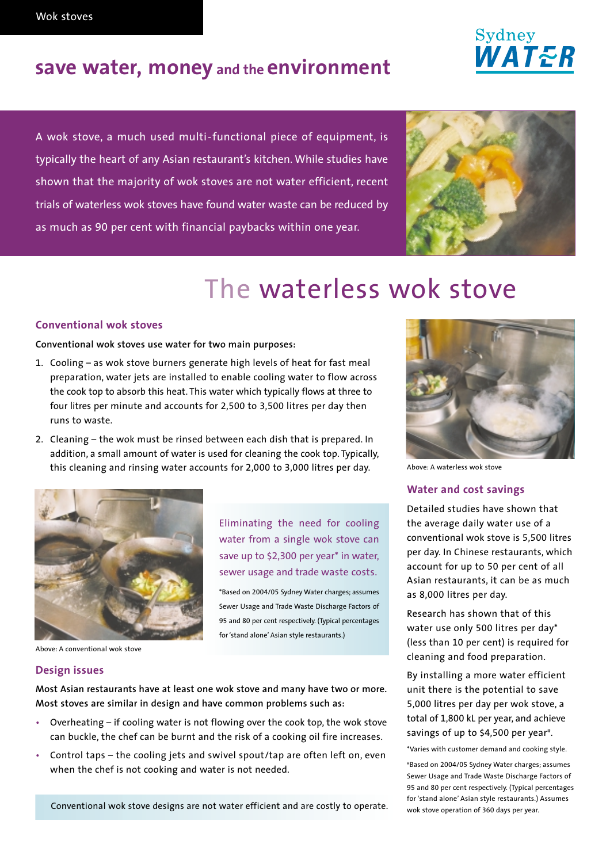## **save water, money and the environment**

A wok stove, a much used multi-functional piece of equipment, is typically the heart of any Asian restaurant's kitchen. While studies have shown that the majority of wok stoves are not water efficient, recent trials of waterless wok stoves have found water waste can be reduced by as much as 90 per cent with financial paybacks within one year.



### **Conventional wok stoves**

### **Conventional wok stoves use water for two main purposes:**

- 1. Cooling as wok stove burners generate high levels of heat for fast meal preparation, water jets are installed to enable cooling water to flow across the cook top to absorb this heat. This water which typically flows at three to four litres per minute and accounts for 2,500 to 3,500 litres per day then runs to waste.
- 2. Cleaning the wok must be rinsed between each dish that is prepared. In addition, a small amount of water is used for cleaning the cook top. Typically, this cleaning and rinsing water accounts for 2,000 to 3,000 litres per day.



Eliminating the need for cooling water from a single wok stove can save up to \$2,300 per year\* in water, sewer usage and trade waste costs.

\*Based on 2004/05 Sydney Water charges; assumes Sewer Usage and Trade Waste Discharge Factors of 95 and 80 per cent respectively. (Typical percentages for 'stand alone' Asian style restaurants.)

Above: A conventional wok stove

### **Design issues**

**Most Asian restaurants have at least one wok stove and many have two or more. Most stoves are similar in design and have common problems such as:**

- Overheating if cooling water is not flowing over the cook top, the wok stove can buckle, the chef can be burnt and the risk of a cooking oil fire increases.
- Control taps the cooling jets and swivel spout/tap are often left on, even when the chef is not cooking and water is not needed.

Conventional wok stove designs are not water efficient and are costly to operate.



Above: A waterless wok stove

### **Water and cost savings**

Detailed studies have shown that the average daily water use of a conventional wok stove is 5,500 litres per day. In Chinese restaurants, which account for up to 50 per cent of all Asian restaurants, it can be as much as 8,000 litres per day.

Research has shown that of this water use only 500 litres per day\* (less than 10 per cent) is required for cleaning and food preparation.

By installing a more water efficient unit there is the potential to save 5,000 litres per day per wok stove, a total of 1,800 kL per year, and achieve savings of up to \$4,500 per year<sup>#</sup>.

\*Varies with customer demand and cooking style.

# Based on 2004/05 Sydney Water charges; assumes Sewer Usage and Trade Waste Discharge Factors of 95 and 80 per cent respectively. (Typical percentages for 'stand alone' Asian style restaurants.) Assumes wok stove operation of 360 days per year.

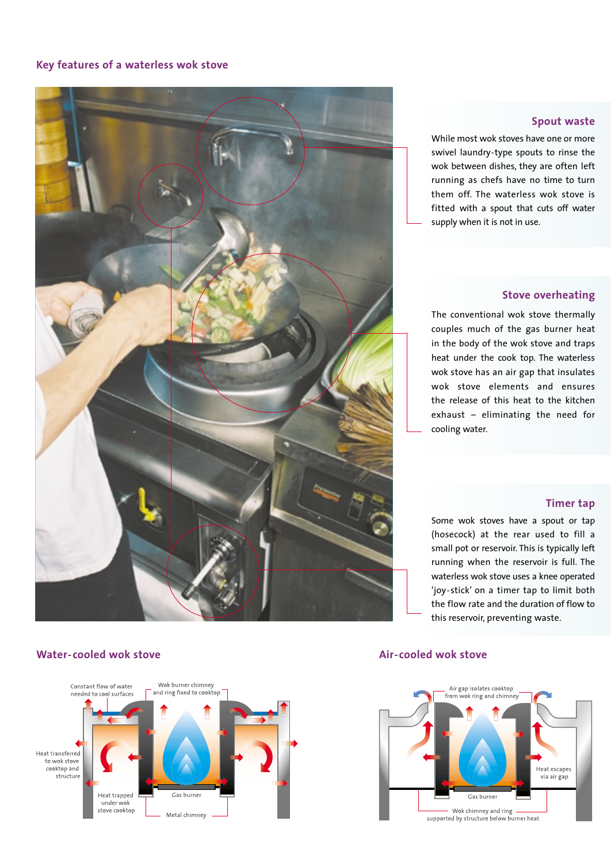### **Key features of a waterless wok stove**



### **Water-cooled wok stove Air-cooled wok stove** Air-cooled wok stove



### **Spout waste**

While most wok stoves have one or more swivel laundry-type spouts to rinse the wok between dishes, they are often left running as chefs have no time to turn them off. The waterless wok stove is fitted with a spout that cuts off water supply when it is not in use.

### **Stove overheating**

The conventional wok stove thermally couples much of the gas burner heat in the body of the wok stove and traps heat under the cook top. The waterless wok stove has an air gap that insulates wok stove elements and ensures the release of this heat to the kitchen exhaust – eliminating the need for cooling water.

### **Timer tap**

Some wok stoves have a spout or tap (hosecock) at the rear used to fill a small pot or reservoir. This is typically left running when the reservoir is full. The waterless wok stove uses a knee operated 'joy-stick' on a timer tap to limit both the flow rate and the duration of flow to this reservoir, preventing waste.

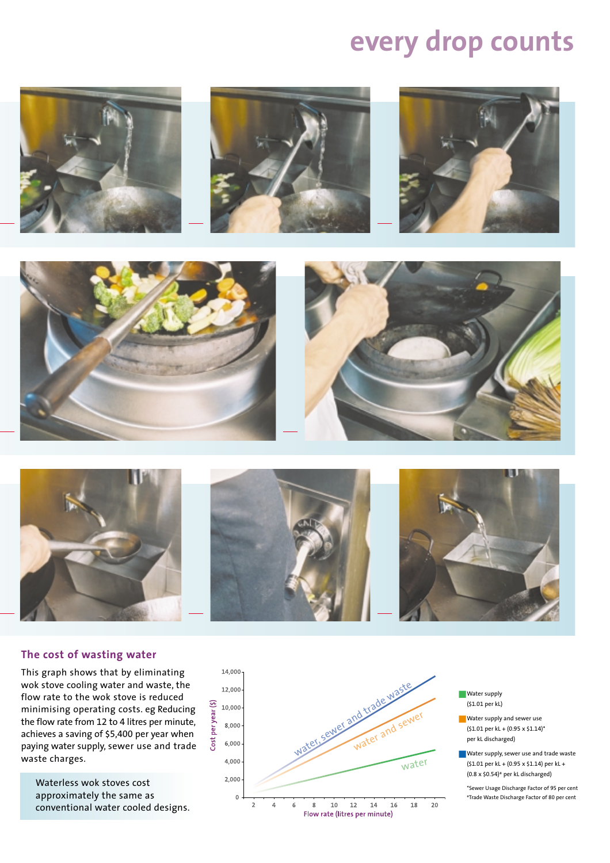## **every drop counts**



### **The cost of wasting water**

This graph shows that by eliminating wok stove cooling water and waste, the flow rate to the wok stove is reduced minimising operating costs. eg Reducing the flow rate from 12 to 4 litres per minute, achieves a saving of \$5,400 per year when paying water supply, sewer use and trade waste charges.

Waterless wok stoves cost approximately the same as conventional water cooled designs.



- Water supply (\$1.01 per kL)
- Water supply and sewer use  $(51.01$  per kL +  $(0.95 \times 51.14)^*$ per kL discharged)
- Water supply, sewer use and trade waste (\$1.01 per kL + (0.95 x \$1.14) per kL + (0.8 x \$0.54) # per kL discharged)

\*Sewer Usage Discharge Factor of 95 per cent #Trade Waste Discharge Factor of 80 per cent